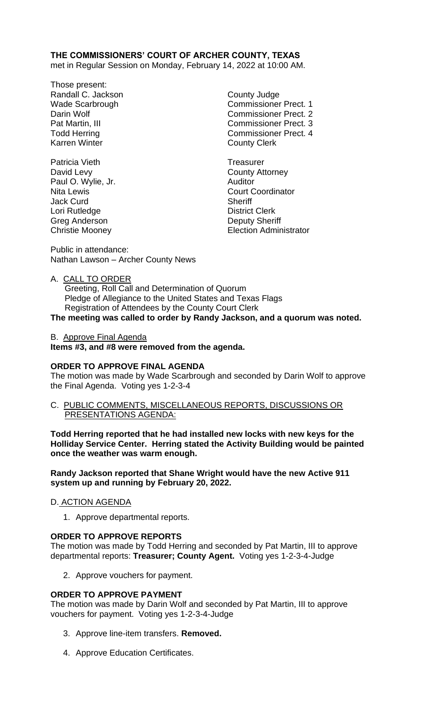# **THE COMMISSIONERS' COURT OF ARCHER COUNTY, TEXAS**

met in Regular Session on Monday, February 14, 2022 at 10:00 AM.

- Those present: Randall C. Jackson County Judge Karren Winter **County Clerk**
- Patricia Vieth Treasurer David Levy **County Attorney** Paul O. Wylie, Jr. **Auditor** Auditor Jack Curd **Sheriff** Lori Rutledge **District Clerk** Greg Anderson **Deputy Sheriff**

Wade Scarbrough Commissioner Prect. 1 Darin Wolf **Commissioner Prect.** 2 Pat Martin, III Commissioner Prect. 3 Todd Herring Todd Exercise Commissioner Prect. 4

Nita Lewis **Nita Lewis** Court Coordinator Christie Mooney Election Administrator

Public in attendance: Nathan Lawson – Archer County News

### A. CALL TO ORDER

 Greeting, Roll Call and Determination of Quorum Pledge of Allegiance to the United States and Texas Flags Registration of Attendees by the County Court Clerk **The meeting was called to order by Randy Jackson, and a quorum was noted.**

B. Approve Final Agenda

**Items #3, and #8 were removed from the agenda.**

## **ORDER TO APPROVE FINAL AGENDA**

The motion was made by Wade Scarbrough and seconded by Darin Wolf to approve the Final Agenda. Voting yes 1-2-3-4

C. PUBLIC COMMENTS, MISCELLANEOUS REPORTS, DISCUSSIONS OR PRESENTATIONS AGENDA:

**Todd Herring reported that he had installed new locks with new keys for the Holliday Service Center. Herring stated the Activity Building would be painted once the weather was warm enough.**

**Randy Jackson reported that Shane Wright would have the new Active 911 system up and running by February 20, 2022.**

## D. ACTION AGENDA

1. Approve departmental reports.

#### **ORDER TO APPROVE REPORTS**

The motion was made by Todd Herring and seconded by Pat Martin, III to approve departmental reports: **Treasurer; County Agent.** Voting yes 1-2-3-4-Judge

2. Approve vouchers for payment.

## **ORDER TO APPROVE PAYMENT**

The motion was made by Darin Wolf and seconded by Pat Martin, III to approve vouchers for payment. Voting yes 1-2-3-4-Judge

- 3. Approve line-item transfers. **Removed.**
- 4. Approve Education Certificates.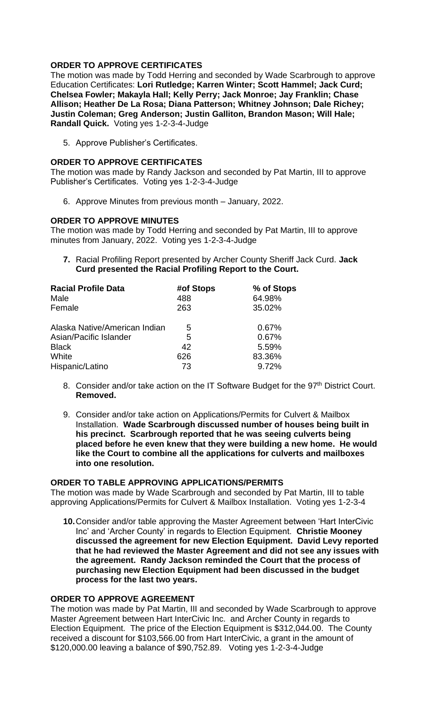# **ORDER TO APPROVE CERTIFICATES**

The motion was made by Todd Herring and seconded by Wade Scarbrough to approve Education Certificates: **Lori Rutledge; Karren Winter; Scott Hammel; Jack Curd; Chelsea Fowler; Makayla Hall; Kelly Perry; Jack Monroe; Jay Franklin; Chase Allison; Heather De La Rosa; Diana Patterson; Whitney Johnson; Dale Richey; Justin Coleman; Greg Anderson; Justin Galliton, Brandon Mason; Will Hale; Randall Quick.** Voting yes 1-2-3-4-Judge

5. Approve Publisher's Certificates.

## **ORDER TO APPROVE CERTIFICATES**

The motion was made by Randy Jackson and seconded by Pat Martin, III to approve Publisher's Certificates. Voting yes 1-2-3-4-Judge

6. Approve Minutes from previous month – January, 2022.

### **ORDER TO APPROVE MINUTES**

The motion was made by Todd Herring and seconded by Pat Martin, III to approve minutes from January, 2022. Voting yes 1-2-3-4-Judge

**7.** Racial Profiling Report presented by Archer County Sheriff Jack Curd. **Jack Curd presented the Racial Profiling Report to the Court.**

| <b>Racial Profile Data</b>    | #of Stops | % of Stops |
|-------------------------------|-----------|------------|
| Male                          | 488       | 64.98%     |
| Female                        | 263       | 35.02%     |
| Alaska Native/American Indian | 5         | 0.67%      |
| Asian/Pacific Islander        | 5         | 0.67%      |
| <b>Black</b>                  | 42        | 5.59%      |
| White                         | 626       | 83.36%     |
| Hispanic/Latino               | 73        | 9.72%      |

- 8. Consider and/or take action on the IT Software Budget for the 97<sup>th</sup> District Court. **Removed.**
- 9. Consider and/or take action on Applications/Permits for Culvert & Mailbox Installation. **Wade Scarbrough discussed number of houses being built in his precinct. Scarbrough reported that he was seeing culverts being placed before he even knew that they were building a new home. He would like the Court to combine all the applications for culverts and mailboxes into one resolution.**

#### **ORDER TO TABLE APPROVING APPLICATIONS/PERMITS**

The motion was made by Wade Scarbrough and seconded by Pat Martin, III to table approving Applications/Permits for Culvert & Mailbox Installation. Voting yes 1-2-3-4

**10.**Consider and/or table approving the Master Agreement between 'Hart InterCivic Inc' and 'Archer County' in regards to Election Equipment. **Christie Mooney discussed the agreement for new Election Equipment. David Levy reported that he had reviewed the Master Agreement and did not see any issues with the agreement. Randy Jackson reminded the Court that the process of purchasing new Election Equipment had been discussed in the budget process for the last two years.**

## **ORDER TO APPROVE AGREEMENT**

The motion was made by Pat Martin, III and seconded by Wade Scarbrough to approve Master Agreement between Hart InterCivic Inc. and Archer County in regards to Election Equipment. The price of the Election Equipment is \$312,044.00. The County received a discount for \$103,566.00 from Hart InterCivic, a grant in the amount of \$120,000.00 leaving a balance of \$90,752.89. Voting yes 1-2-3-4-Judge